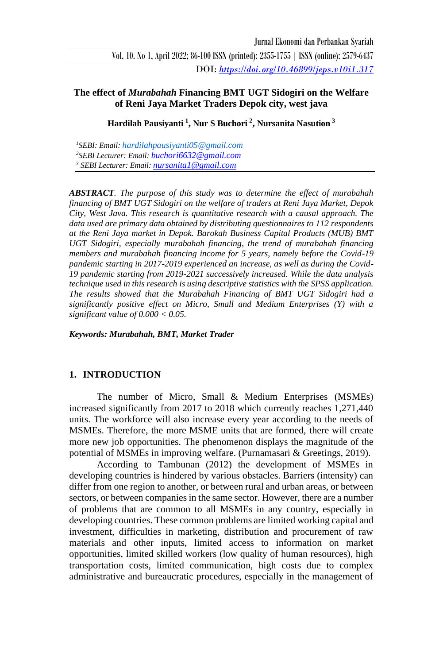Vol. 10. No 1, April 2022; 86-100 ISSN (printed): 2355-1755 | ISSN (online): 2579-6437 DOI: *<https://doi.org/10.46899/jeps.v10i1.317>*

### **The effect of** *Murabahah* **Financing BMT UGT Sidogiri on the Welfare of Reni Jaya Market Traders Depok city, west java**

**Hardilah Pausiyanti <sup>1</sup> , Nur S Buchori <sup>2</sup> , Nursanita Nasution <sup>3</sup>**

*<sup>1</sup>SEBI: Email: [hardilahpausiyanti05@gmail.com](mailto:hardilahpausiyanti05@gmail.com) <sup>2</sup>SEBI Lecturer: Email: [buchori6632@gmail.com](mailto:buchori6632@gmail.com) <sup>3</sup> SEBI Lecturer: Email: [nursanita1@gmail.com](mailto:nursanita1@gmail.com)*

*ABSTRACT. The purpose of this study was to determine the effect of murabahah financing of BMT UGT Sidogiri on the welfare of traders at Reni Jaya Market, Depok City, West Java. This research is quantitative research with a causal approach. The data used are primary data obtained by distributing questionnaires to 112 respondents at the Reni Jaya market in Depok. Barokah Business Capital Products (MUB) BMT UGT Sidogiri, especially murabahah financing, the trend of murabahah financing members and murabahah financing income for 5 years, namely before the Covid-19 pandemic starting in 2017-2019 experienced an increase, as well as during the Covid-19 pandemic starting from 2019-2021 successively increased. While the data analysis technique used in this research is using descriptive statistics with the SPSS application. The results showed that the Murabahah Financing of BMT UGT Sidogiri had a significantly positive effect on Micro, Small and Medium Enterprises (Y) with a significant value of 0.000 < 0.05.*

*Keywords: Murabahah, BMT, Market Trader*

#### **1. INTRODUCTION**

The number of Micro, Small & Medium Enterprises (MSMEs) increased significantly from 2017 to 2018 which currently reaches 1,271,440 units. The workforce will also increase every year according to the needs of MSMEs. Therefore, the more MSME units that are formed, there will create more new job opportunities. The phenomenon displays the magnitude of the potential of MSMEs in improving welfare. (Purnamasari & Greetings, 2019).

According to Tambunan (2012) the development of MSMEs in developing countries is hindered by various obstacles. Barriers (intensity) can differ from one region to another, or between rural and urban areas, or between sectors, or between companies in the same sector. However, there are a number of problems that are common to all MSMEs in any country, especially in developing countries. These common problems are limited working capital and investment, difficulties in marketing, distribution and procurement of raw materials and other inputs, limited access to information on market opportunities, limited skilled workers (low quality of human resources), high transportation costs, limited communication, high costs due to complex administrative and bureaucratic procedures, especially in the management of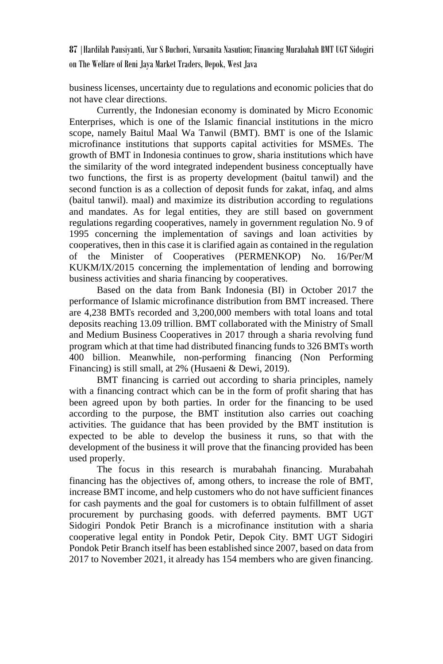business licenses, uncertainty due to regulations and economic policies that do not have clear directions.

Currently, the Indonesian economy is dominated by Micro Economic Enterprises, which is one of the Islamic financial institutions in the micro scope, namely Baitul Maal Wa Tanwil (BMT). BMT is one of the Islamic microfinance institutions that supports capital activities for MSMEs. The growth of BMT in Indonesia continues to grow, sharia institutions which have the similarity of the word integrated independent business conceptually have two functions, the first is as property development (baitul tanwil) and the second function is as a collection of deposit funds for zakat, infaq, and alms (baitul tanwil). maal) and maximize its distribution according to regulations and mandates. As for legal entities, they are still based on government regulations regarding cooperatives, namely in government regulation No. 9 of 1995 concerning the implementation of savings and loan activities by cooperatives, then in this case it is clarified again as contained in the regulation of the Minister of Cooperatives (PERMENKOP) No. 16/Per/M KUKM/IX/2015 concerning the implementation of lending and borrowing business activities and sharia financing by cooperatives.

Based on the data from Bank Indonesia (BI) in October 2017 the performance of Islamic microfinance distribution from BMT increased. There are 4,238 BMTs recorded and 3,200,000 members with total loans and total deposits reaching 13.09 trillion. BMT collaborated with the Ministry of Small and Medium Business Cooperatives in 2017 through a sharia revolving fund program which at that time had distributed financing funds to 326 BMTs worth 400 billion. Meanwhile, non-performing financing (Non Performing Financing) is still small, at 2% (Husaeni & Dewi, 2019).

BMT financing is carried out according to sharia principles, namely with a financing contract which can be in the form of profit sharing that has been agreed upon by both parties. In order for the financing to be used according to the purpose, the BMT institution also carries out coaching activities. The guidance that has been provided by the BMT institution is expected to be able to develop the business it runs, so that with the development of the business it will prove that the financing provided has been used properly.

The focus in this research is murabahah financing. Murabahah financing has the objectives of, among others, to increase the role of BMT, increase BMT income, and help customers who do not have sufficient finances for cash payments and the goal for customers is to obtain fulfillment of asset procurement by purchasing goods. with deferred payments. BMT UGT Sidogiri Pondok Petir Branch is a microfinance institution with a sharia cooperative legal entity in Pondok Petir, Depok City. BMT UGT Sidogiri Pondok Petir Branch itself has been established since 2007, based on data from 2017 to November 2021, it already has 154 members who are given financing.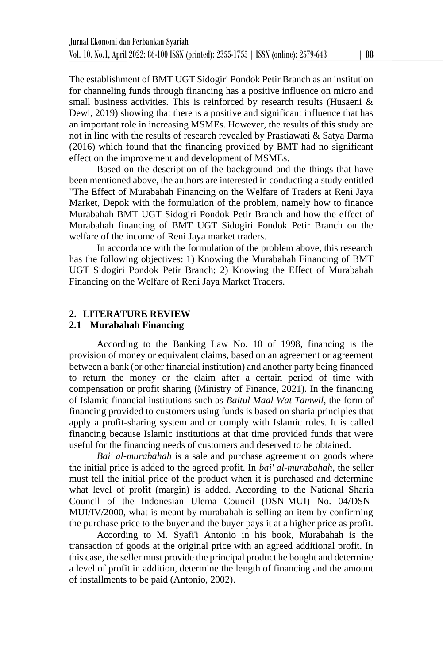The establishment of BMT UGT Sidogiri Pondok Petir Branch as an institution for channeling funds through financing has a positive influence on micro and small business activities. This is reinforced by research results (Husaeni  $\&$ Dewi, 2019) showing that there is a positive and significant influence that has an important role in increasing MSMEs. However, the results of this study are not in line with the results of research revealed by Prastiawati & Satya Darma (2016) which found that the financing provided by BMT had no significant effect on the improvement and development of MSMEs.

Based on the description of the background and the things that have been mentioned above, the authors are interested in conducting a study entitled "The Effect of Murabahah Financing on the Welfare of Traders at Reni Jaya Market, Depok with the formulation of the problem, namely how to finance Murabahah BMT UGT Sidogiri Pondok Petir Branch and how the effect of Murabahah financing of BMT UGT Sidogiri Pondok Petir Branch on the welfare of the income of Reni Jaya market traders.

In accordance with the formulation of the problem above, this research has the following objectives: 1) Knowing the Murabahah Financing of BMT UGT Sidogiri Pondok Petir Branch; 2) Knowing the Effect of Murabahah Financing on the Welfare of Reni Jaya Market Traders.

## **2. LITERATURE REVIEW**

#### **2.1 Murabahah Financing**

According to the Banking Law No. 10 of 1998, financing is the provision of money or equivalent claims, based on an agreement or agreement between a bank (or other financial institution) and another party being financed to return the money or the claim after a certain period of time with compensation or profit sharing (Ministry of Finance, 2021). In the financing of Islamic financial institutions such as *Baitul Maal Wat Tamwil*, the form of financing provided to customers using funds is based on sharia principles that apply a profit-sharing system and or comply with Islamic rules. It is called financing because Islamic institutions at that time provided funds that were useful for the financing needs of customers and deserved to be obtained.

*Bai' al-murabahah* is a sale and purchase agreement on goods where the initial price is added to the agreed profit. In *bai' al-murabahah*, the seller must tell the initial price of the product when it is purchased and determine what level of profit (margin) is added. According to the National Sharia Council of the Indonesian Ulema Council (DSN-MUI) No. 04/DSN-MUI/IV/2000, what is meant by murabahah is selling an item by confirming the purchase price to the buyer and the buyer pays it at a higher price as profit.

According to M. Syafi'i Antonio in his book, Murabahah is the transaction of goods at the original price with an agreed additional profit. In this case, the seller must provide the principal product he bought and determine a level of profit in addition, determine the length of financing and the amount of installments to be paid (Antonio, 2002).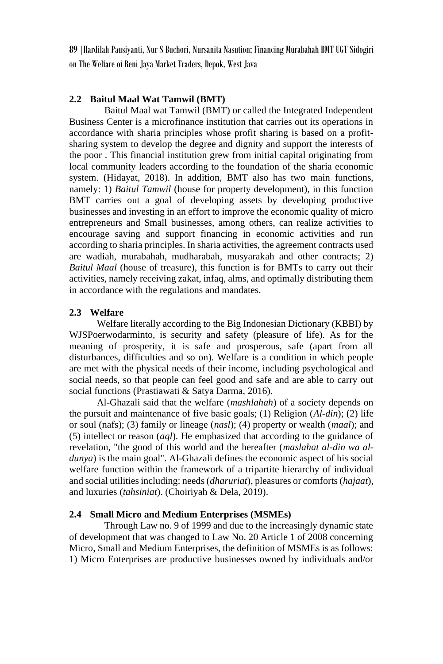## **2.2 Baitul Maal Wat Tamwil (BMT)**

Baitul Maal wat Tamwil (BMT) or called the Integrated Independent Business Center is a microfinance institution that carries out its operations in accordance with sharia principles whose profit sharing is based on a profitsharing system to develop the degree and dignity and support the interests of the poor . This financial institution grew from initial capital originating from local community leaders according to the foundation of the sharia economic system. (Hidayat, 2018). In addition, BMT also has two main functions, namely: 1) *Baitul Tamwil* (house for property development), in this function BMT carries out a goal of developing assets by developing productive businesses and investing in an effort to improve the economic quality of micro entrepreneurs and Small businesses, among others, can realize activities to encourage saving and support financing in economic activities and run according to sharia principles. In sharia activities, the agreement contracts used are wadiah, murabahah, mudharabah, musyarakah and other contracts; 2) *Baitul Maal* (house of treasure), this function is for BMTs to carry out their activities, namely receiving zakat, infaq, alms, and optimally distributing them in accordance with the regulations and mandates.

## **2.3 Welfare**

Welfare literally according to the Big Indonesian Dictionary (KBBI) by WJSPoerwodarminto, is security and safety (pleasure of life). As for the meaning of prosperity, it is safe and prosperous, safe (apart from all disturbances, difficulties and so on). Welfare is a condition in which people are met with the physical needs of their income, including psychological and social needs, so that people can feel good and safe and are able to carry out social functions (Prastiawati & Satya Darma, 2016).

Al-Ghazali said that the welfare (*mashlahah*) of a society depends on the pursuit and maintenance of five basic goals; (1) Religion (*Al-din*); (2) life or soul (nafs); (3) family or lineage (*nasl*); (4) property or wealth (*maal*); and (5) intellect or reason (*aql*). He emphasized that according to the guidance of revelation, "the good of this world and the hereafter (*maslahat al-din wa aldunya*) is the main goal". Al-Ghazali defines the economic aspect of his social welfare function within the framework of a tripartite hierarchy of individual and social utilities including: needs (*dharuriat*), pleasures or comforts (*hajaat*), and luxuries (*tahsiniat*). (Choiriyah & Dela, 2019).

## **2.4 Small Micro and Medium Enterprises (MSMEs)**

Through Law no. 9 of 1999 and due to the increasingly dynamic state of development that was changed to Law No. 20 Article 1 of 2008 concerning Micro, Small and Medium Enterprises, the definition of MSMEs is as follows: 1) Micro Enterprises are productive businesses owned by individuals and/or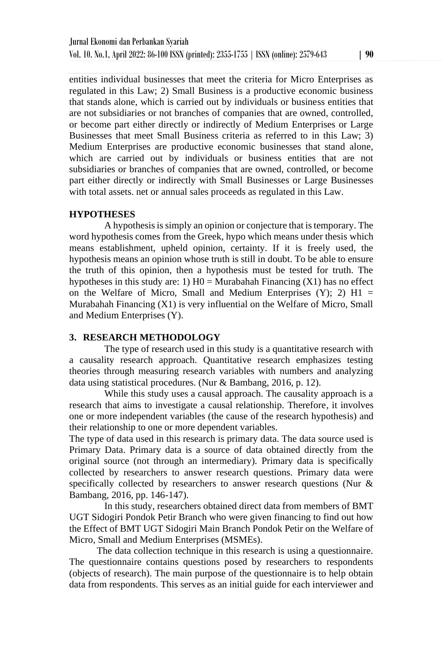entities individual businesses that meet the criteria for Micro Enterprises as regulated in this Law; 2) Small Business is a productive economic business that stands alone, which is carried out by individuals or business entities that are not subsidiaries or not branches of companies that are owned, controlled, or become part either directly or indirectly of Medium Enterprises or Large Businesses that meet Small Business criteria as referred to in this Law; 3) Medium Enterprises are productive economic businesses that stand alone, which are carried out by individuals or business entities that are not subsidiaries or branches of companies that are owned, controlled, or become part either directly or indirectly with Small Businesses or Large Businesses with total assets. net or annual sales proceeds as regulated in this Law.

### **HYPOTHESES**

A hypothesis is simply an opinion or conjecture that is temporary. The word hypothesis comes from the Greek, hypo which means under thesis which means establishment, upheld opinion, certainty. If it is freely used, the hypothesis means an opinion whose truth is still in doubt. To be able to ensure the truth of this opinion, then a hypothesis must be tested for truth. The hypotheses in this study are: 1)  $H0 = Murabahah Financing (X1)$  has no effect on the Welfare of Micro, Small and Medium Enterprises  $(Y)$ ; 2) H1 = Murabahah Financing (X1) is very influential on the Welfare of Micro, Small and Medium Enterprises (Y).

#### **3. RESEARCH METHODOLOGY**

The type of research used in this study is a quantitative research with a causality research approach. Quantitative research emphasizes testing theories through measuring research variables with numbers and analyzing data using statistical procedures. (Nur & Bambang, 2016, p. 12).

While this study uses a causal approach. The causality approach is a research that aims to investigate a causal relationship. Therefore, it involves one or more independent variables (the cause of the research hypothesis) and their relationship to one or more dependent variables.

The type of data used in this research is primary data. The data source used is Primary Data. Primary data is a source of data obtained directly from the original source (not through an intermediary). Primary data is specifically collected by researchers to answer research questions. Primary data were specifically collected by researchers to answer research questions (Nur & Bambang, 2016, pp. 146-147).

In this study, researchers obtained direct data from members of BMT UGT Sidogiri Pondok Petir Branch who were given financing to find out how the Effect of BMT UGT Sidogiri Main Branch Pondok Petir on the Welfare of Micro, Small and Medium Enterprises (MSMEs).

The data collection technique in this research is using a questionnaire. The questionnaire contains questions posed by researchers to respondents (objects of research). The main purpose of the questionnaire is to help obtain data from respondents. This serves as an initial guide for each interviewer and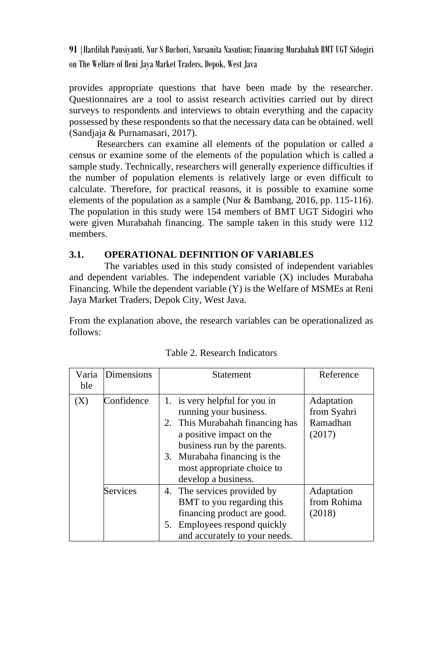provides appropriate questions that have been made by the researcher. Questionnaires are a tool to assist research activities carried out by direct surveys to respondents and interviews to obtain everything and the capacity possessed by these respondents so that the necessary data can be obtained. well (Sandjaja & Purnamasari, 2017).

Researchers can examine all elements of the population or called a census or examine some of the elements of the population which is called a sample study. Technically, researchers will generally experience difficulties if the number of population elements is relatively large or even difficult to calculate. Therefore, for practical reasons, it is possible to examine some elements of the population as a sample (Nur & Bambang, 2016, pp. 115-116). The population in this study were 154 members of BMT UGT Sidogiri who were given Murabahah financing. The sample taken in this study were 112 members.

## **3.1. OPERATIONAL DEFINITION OF VARIABLES**

The variables used in this study consisted of independent variables and dependent variables. The independent variable (X) includes Murabaha Financing. While the dependent variable (Y) is the Welfare of MSMEs at Reni Jaya Market Traders, Depok City, West Java.

From the explanation above, the research variables can be operationalized as follows:

| Varia | Dimensions | <b>Statement</b>                | Reference   |
|-------|------------|---------------------------------|-------------|
| ble   |            |                                 |             |
| (X)   | Confidence | 1. is very helpful for you in   | Adaptation  |
|       |            | running your business.          | from Syahri |
|       |            | 2. This Murabahah financing has | Ramadhan    |
|       |            | a positive impact on the        | (2017)      |
|       |            | business run by the parents.    |             |
|       |            | 3. Murabaha financing is the    |             |
|       |            | most appropriate choice to      |             |
|       |            | develop a business.             |             |
|       | Services   | 4. The services provided by     | Adaptation  |
|       |            | BMT to you regarding this       | from Rohima |
|       |            | financing product are good.     | (2018)      |
|       |            | Employees respond quickly<br>5. |             |
|       |            | and accurately to your needs.   |             |

Table 2. Research Indicators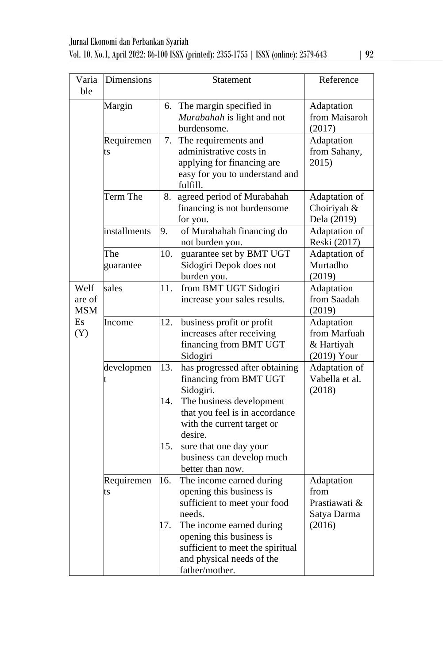| Varia<br>ble                 | <b>Dimensions</b> |                   | Statement                                                                                                                                                                                                                                               | Reference                                                    |
|------------------------------|-------------------|-------------------|---------------------------------------------------------------------------------------------------------------------------------------------------------------------------------------------------------------------------------------------------------|--------------------------------------------------------------|
|                              | Margin            | 6.                | The margin specified in<br>Murabahah is light and not<br>burdensome.                                                                                                                                                                                    | Adaptation<br>from Maisaroh<br>(2017)                        |
|                              | Requiremen<br>ts  | 7.                | The requirements and<br>administrative costs in<br>applying for financing are<br>easy for you to understand and<br>fulfill.                                                                                                                             | Adaptation<br>from Sahany,<br>2015)                          |
|                              | Term The          | 8.                | agreed period of Murabahah<br>financing is not burdensome<br>for you.                                                                                                                                                                                   | Adaptation of<br>Choiriyah &<br>Dela (2019)                  |
|                              | installments      | 9.                | of Murabahah financing do<br>not burden you.                                                                                                                                                                                                            | Adaptation of<br>Reski (2017)                                |
|                              | The<br>guarantee  | 10.               | guarantee set by BMT UGT<br>Sidogiri Depok does not<br>burden you.                                                                                                                                                                                      | Adaptation of<br>Murtadho<br>(2019)                          |
| Welf<br>are of<br><b>MSM</b> | sales             | 11.               | from BMT UGT Sidogiri<br>increase your sales results.                                                                                                                                                                                                   | Adaptation<br>from Saadah<br>(2019)                          |
| <b>Es</b><br>(Y)             | Income            | 12.               | business profit or profit<br>increases after receiving<br>financing from BMT UGT<br>Sidogiri                                                                                                                                                            | Adaptation<br>from Marfuah<br>& Hartiyah<br>$(2019)$ Your    |
|                              | developmen        | 13.<br>14.<br>15. | has progressed after obtaining<br>financing from BMT UGT<br>Sidogiri.<br>The business development<br>that you feel is in accordance<br>with the current target or<br>desire.<br>sure that one day your<br>business can develop much<br>better than now. | Adaptation of<br>Vabella et al.<br>(2018)                    |
|                              | Requiremen<br>ts  | 16.<br>17.        | The income earned during<br>opening this business is<br>sufficient to meet your food<br>needs.<br>The income earned during<br>opening this business is<br>sufficient to meet the spiritual<br>and physical needs of the<br>father/mother.               | Adaptation<br>from<br>Prastiawati &<br>Satya Darma<br>(2016) |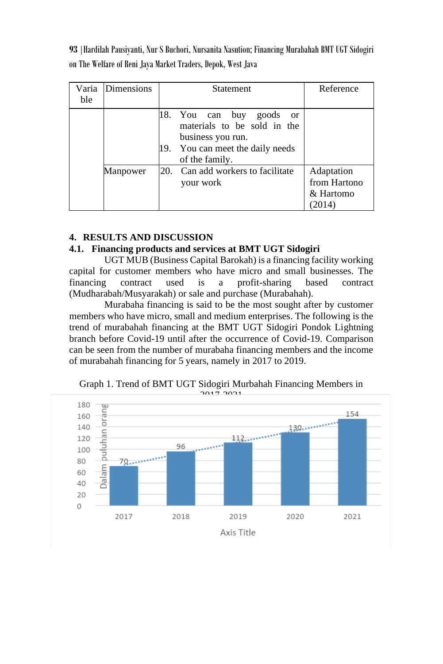| Varia<br>ble | Dimensions | Statement                                                                                                                                           | Reference                               |
|--------------|------------|-----------------------------------------------------------------------------------------------------------------------------------------------------|-----------------------------------------|
|              |            | 18. You can buy<br>goods<br><sub>or</sub><br>materials to be sold in the<br>business you run.<br>19. You can meet the daily needs<br>of the family. |                                         |
|              | Manpower   | 20. Can add workers to facilitate<br>your work                                                                                                      | Adaptation<br>from Hartono<br>& Hartomo |

# **4. RESULTS AND DISCUSSION**

## **4.1. Financing products and services at BMT UGT Sidogiri**

UGT MUB (Business Capital Barokah) is a financing facility working capital for customer members who have micro and small businesses. The financing contract used is a profit-sharing based contract (Mudharabah/Musyarakah) or sale and purchase (Murabahah).

Murabaha financing is said to be the most sought after by customer members who have micro, small and medium enterprises. The following is the trend of murabahah financing at the BMT UGT Sidogiri Pondok Lightning branch before Covid-19 until after the occurrence of Covid-19. Comparison can be seen from the number of murabaha financing members and the income of murabahah financing for 5 years, namely in 2017 to 2019.



Graph 1. Trend of BMT UGT Sidogiri Murbahah Financing Members in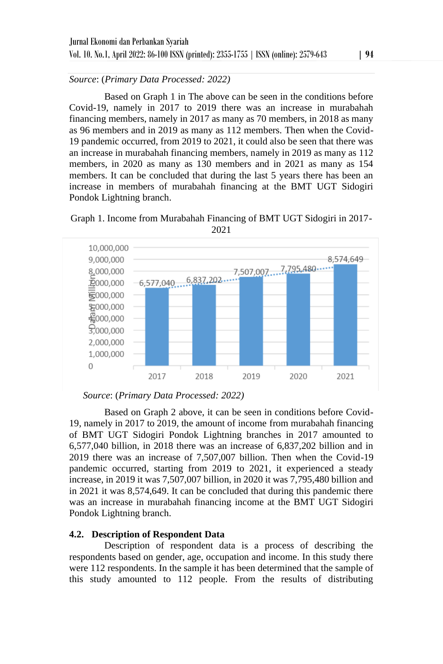*Source*: (*Primary Data Processed: 2022)*

Based on Graph 1 in The above can be seen in the conditions before Covid-19, namely in 2017 to 2019 there was an increase in murabahah financing members, namely in 2017 as many as 70 members, in 2018 as many as 96 members and in 2019 as many as 112 members. Then when the Covid-19 pandemic occurred, from 2019 to 2021, it could also be seen that there was an increase in murabahah financing members, namely in 2019 as many as 112 members, in 2020 as many as 130 members and in 2021 as many as 154 members. It can be concluded that during the last 5 years there has been an increase in members of murabahah financing at the BMT UGT Sidogiri Pondok Lightning branch.





```
2021
```
Based on Graph 2 above, it can be seen in conditions before Covid-19, namely in 2017 to 2019, the amount of income from murabahah financing of BMT UGT Sidogiri Pondok Lightning branches in 2017 amounted to 6,577,040 billion, in 2018 there was an increase of 6,837,202 billion and in 2019 there was an increase of 7,507,007 billion. Then when the Covid-19 pandemic occurred, starting from 2019 to 2021, it experienced a steady increase, in 2019 it was 7,507,007 billion, in 2020 it was 7,795,480 billion and in 2021 it was 8,574,649. It can be concluded that during this pandemic there was an increase in murabahah financing income at the BMT UGT Sidogiri Pondok Lightning branch.

# **4.2. Description of Respondent Data**

Description of respondent data is a process of describing the respondents based on gender, age, occupation and income. In this study there were 112 respondents. In the sample it has been determined that the sample of this study amounted to 112 people. From the results of distributing

*Source*: (*Primary Data Processed: 2022)*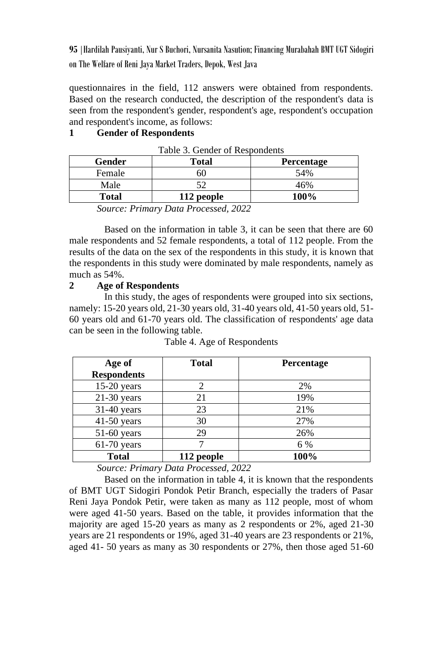questionnaires in the field, 112 answers were obtained from respondents. Based on the research conducted, the description of the respondent's data is seen from the respondent's gender, respondent's age, respondent's occupation and respondent's income, as follows:

## **1 Gender of Respondents**

| Gender | Total      | <b>Percentage</b> |
|--------|------------|-------------------|
| Female | 50         | 54%               |
| Male   |            | 46%               |
| Total  | 112 people | 100%              |

*Source: Primary Data Processed, 2022*

Based on the information in table 3, it can be seen that there are 60 male respondents and 52 female respondents, a total of 112 people. From the results of the data on the sex of the respondents in this study, it is known that the respondents in this study were dominated by male respondents, namely as much as 54%.

### **2 Age of Respondents**

In this study, the ages of respondents were grouped into six sections, namely: 15-20 years old, 21-30 years old, 31-40 years old, 41-50 years old, 51- 60 years old and 61-70 years old. The classification of respondents' age data can be seen in the following table.

| Age of             | <b>Total</b> | <b>Percentage</b> |
|--------------------|--------------|-------------------|
| <b>Respondents</b> |              |                   |
| $15-20$ years      | 2            | 2%                |
| $21-30$ years      | 21           | 19%               |
| $31-40$ years      | 23           | 21%               |
| $41-50$ years      | 30           | 27%               |
| $51-60$ years      | 29           | 26%               |
| $61-70$ years      |              | 6 %               |
| <b>Total</b>       | 112 people   | 100%              |

Table 4. Age of Respondents

*Source: Primary Data Processed, 2022*

Based on the information in table 4, it is known that the respondents of BMT UGT Sidogiri Pondok Petir Branch, especially the traders of Pasar Reni Jaya Pondok Petir, were taken as many as 112 people, most of whom were aged 41-50 years. Based on the table, it provides information that the majority are aged 15-20 years as many as 2 respondents or 2%, aged 21-30 years are 21 respondents or 19%, aged 31-40 years are 23 respondents or 21%, aged 41- 50 years as many as 30 respondents or 27%, then those aged 51-60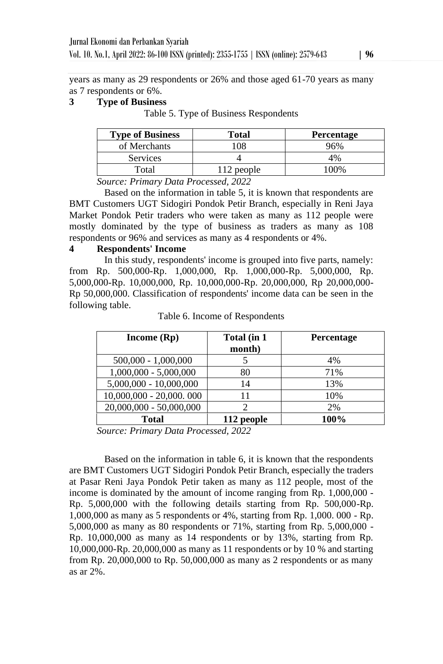years as many as 29 respondents or 26% and those aged 61-70 years as many as 7 respondents or 6%.

## **3 Type of Business**

Table 5. Type of Business Respondents

| <b>Type of Business</b> | Total      | <b>Percentage</b> |
|-------------------------|------------|-------------------|
| of Merchants            | 108        | 96%               |
| <b>Services</b>         |            | 4%                |
| Total                   | 112 people | $00\%$            |

*Source: Primary Data Processed, 2022*

Based on the information in table 5, it is known that respondents are BMT Customers UGT Sidogiri Pondok Petir Branch, especially in Reni Jaya Market Pondok Petir traders who were taken as many as 112 people were mostly dominated by the type of business as traders as many as 108 respondents or 96% and services as many as 4 respondents or 4%.

### **4 Respondents' Income**

In this study, respondents' income is grouped into five parts, namely: from Rp. 500,000-Rp. 1,000,000, Rp. 1,000,000-Rp. 5,000,000, Rp. 5,000,000-Rp. 10,000,000, Rp. 10,000,000-Rp. 20,000,000, Rp 20,000,000- Rp 50,000,000. Classification of respondents' income data can be seen in the following table.

| Income $(Rp)$            | Total (in 1<br>month) | Percentage |
|--------------------------|-----------------------|------------|
| $500,000 - 1,000,000$    |                       | 4%         |
| $1,000,000 - 5,000,000$  | 80                    | 71%        |
| $5,000,000 - 10,000,000$ | 14                    | 13%        |
| 10,000,000 - 20,000.000  | 11                    | 10%        |
| 20,000,000 - 50,000,000  | $\mathcal{D}$         | 2%         |
| <b>Total</b>             | 112 people            | 100%       |

Table 6. Income of Respondents

*Source: Primary Data Processed, 2022*

Based on the information in table 6, it is known that the respondents are BMT Customers UGT Sidogiri Pondok Petir Branch, especially the traders at Pasar Reni Jaya Pondok Petir taken as many as 112 people, most of the income is dominated by the amount of income ranging from Rp. 1,000,000 - Rp. 5,000,000 with the following details starting from Rp. 500,000-Rp. 1,000,000 as many as 5 respondents or 4%, starting from Rp. 1,000. 000 - Rp. 5,000,000 as many as 80 respondents or 71%, starting from Rp. 5,000,000 - Rp. 10,000,000 as many as 14 respondents or by 13%, starting from Rp. 10,000,000-Rp. 20,000,000 as many as 11 respondents or by 10 % and starting from Rp. 20,000,000 to Rp. 50,000,000 as many as 2 respondents or as many as ar 2%.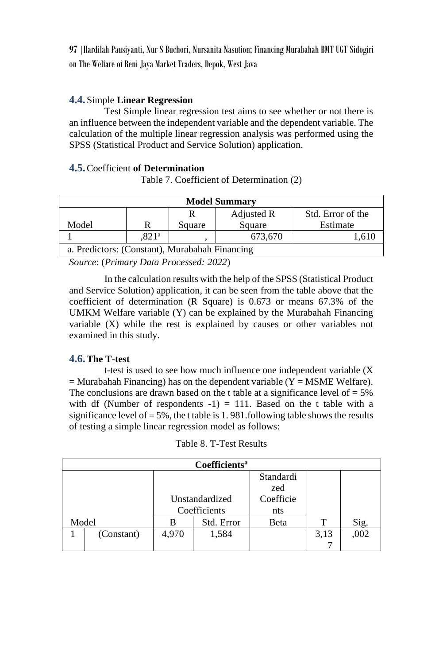# **4.4.** Simple **Linear Regression**

Test Simple linear regression test aims to see whether or not there is an influence between the independent variable and the dependent variable. The calculation of the multiple linear regression analysis was performed using the SPSS (Statistical Product and Service Solution) application.

## **4.5.**Coefficient **of Determination**

Table 7. Coefficient of Determination (2)

| <b>Model Summary</b>                           |  |        |        |          |  |  |
|------------------------------------------------|--|--------|--------|----------|--|--|
| Std. Error of the<br>Adjusted R                |  |        |        |          |  |  |
| Model<br>R                                     |  | Square | Square | Estimate |  |  |
| 673.670<br>.821 <sup>a</sup><br>.610           |  |        |        |          |  |  |
| a. Predictors: (Constant), Murabahah Financing |  |        |        |          |  |  |

*Source*: (*Primary Data Processed: 2022*)

In the calculation results with the help of the SPSS (Statistical Product and Service Solution) application, it can be seen from the table above that the coefficient of determination (R Square) is 0.673 or means 67.3% of the UMKM Welfare variable (Y) can be explained by the Murabahah Financing variable (X) while the rest is explained by causes or other variables not examined in this study.

# **4.6.The T-test**

t-test is used to see how much influence one independent variable (X  $=$  Murabahah Financing) has on the dependent variable (Y = MSME Welfare). The conclusions are drawn based on the t table at a significance level of  $= 5\%$ with df (Number of respondents  $-1$ ) = 111. Based on the t table with a significance level of  $= 5\%$ , the t table is 1.981.following table shows the results of testing a simple linear regression model as follows:

| Coefficients <sup>a</sup> |            |                |            |           |      |      |
|---------------------------|------------|----------------|------------|-----------|------|------|
|                           |            |                | Standardi  |           |      |      |
|                           |            |                |            | zed       |      |      |
|                           |            | Unstandardized |            | Coefficie |      |      |
|                           |            | Coefficients   |            | nts       |      |      |
| Model                     |            |                | Std. Error | Beta      | т    | Sig. |
|                           | (Constant) | 4.970          | 1,584      |           | 3,13 | ,002 |
|                           |            |                |            |           |      |      |

| Table 8. T-Test Results |  |
|-------------------------|--|
|-------------------------|--|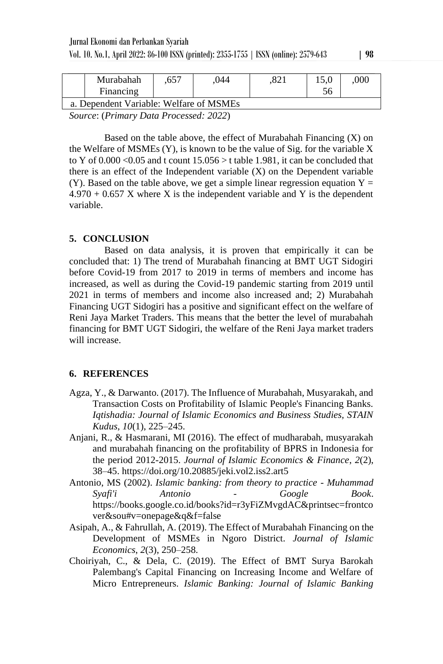|                                         | Murabahah | .657 | 044 |  |  | .000 |
|-----------------------------------------|-----------|------|-----|--|--|------|
|                                         | Financing |      |     |  |  |      |
| a. Dependent Variable: Welfare of MSMEs |           |      |     |  |  |      |
|                                         |           |      |     |  |  |      |

*Source*: (*Primary Data Processed: 2022*)

Based on the table above, the effect of Murabahah Financing  $(X)$  on the Welfare of MSMEs (Y), is known to be the value of Sig. for the variable X to Y of  $0.000 \le 0.05$  and t count  $15.056 > t$  table 1.981, it can be concluded that there is an effect of the Independent variable  $(X)$  on the Dependent variable (Y). Based on the table above, we get a simple linear regression equation  $Y =$  $4.970 + 0.657$  X where X is the independent variable and Y is the dependent variable.

## **5. CONCLUSION**

Based on data analysis, it is proven that empirically it can be concluded that: 1) The trend of Murabahah financing at BMT UGT Sidogiri before Covid-19 from 2017 to 2019 in terms of members and income has increased, as well as during the Covid-19 pandemic starting from 2019 until 2021 in terms of members and income also increased and; 2) Murabahah Financing UGT Sidogiri has a positive and significant effect on the welfare of Reni Jaya Market Traders. This means that the better the level of murabahah financing for BMT UGT Sidogiri, the welfare of the Reni Jaya market traders will increase.

# **6. REFERENCES**

- Agza, Y., & Darwanto. (2017). The Influence of Murabahah, Musyarakah, and Transaction Costs on Profitability of Islamic People's Financing Banks. *Iqtishadia: Journal of Islamic Economics and Business Studies, STAIN Kudus*, *10*(1), 225–245.
- Anjani, R., & Hasmarani, MI (2016). The effect of mudharabah, musyarakah and murabahah financing on the profitability of BPRS in Indonesia for the period 2012-2015. *Journal of Islamic Economics & Finance*, *2*(2), 38–45. https://doi.org/10.20885/jeki.vol2.iss2.art5
- Antonio, MS (2002). *Islamic banking: from theory to practice - Muhammad Syafi'i Antonio - Google Book*. https://books.google.co.id/books?id=r3yFiZMvgdAC&printsec=frontco ver&sou#v=onepage&q&f=false
- Asipah, A., & Fahrullah, A. (2019). The Effect of Murabahah Financing on the Development of MSMEs in Ngoro District. *Journal of Islamic Economics*, *2*(3), 250–258.
- Choiriyah, C., & Dela, C. (2019). The Effect of BMT Surya Barokah Palembang's Capital Financing on Increasing Income and Welfare of Micro Entrepreneurs. *Islamic Banking: Journal of Islamic Banking*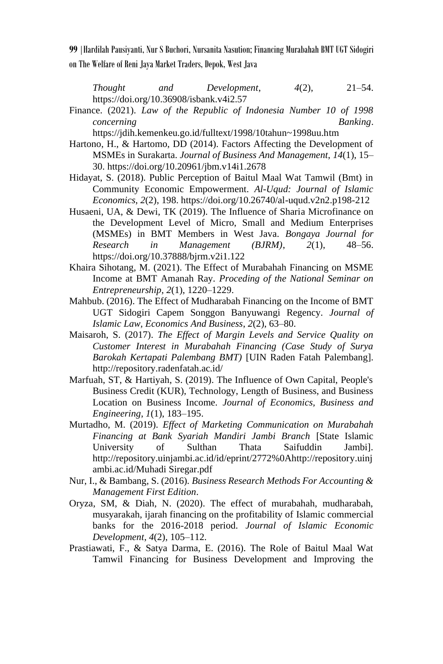*Thought and Development*, *4*(2), 21–54. https://doi.org/10.36908/isbank.v4i2.57

Finance. (2021). *Law of the Republic of Indonesia Number 10 of 1998 concerning Banking*.

https://jdih.kemenkeu.go.id/fulltext/1998/10tahun~1998uu.htm

- Hartono, H., & Hartomo, DD (2014). Factors Affecting the Development of MSMEs in Surakarta. *Journal of Business And Management*, *14*(1), 15– 30. https://doi.org/10.20961/jbm.v14i1.2678
- Hidayat, S. (2018). Public Perception of Baitul Maal Wat Tamwil (Bmt) in Community Economic Empowerment. *Al-Uqud: Journal of Islamic Economics*, *2*(2), 198. https://doi.org/10.26740/al-uqud.v2n2.p198-212
- Husaeni, UA, & Dewi, TK (2019). The Influence of Sharia Microfinance on the Development Level of Micro, Small and Medium Enterprises (MSMEs) in BMT Members in West Java. *Bongaya Journal for Research in Management (BJRM)*, *2*(1), 48–56. https://doi.org/10.37888/bjrm.v2i1.122
- Khaira Sihotang, M. (2021). The Effect of Murabahah Financing on MSME Income at BMT Amanah Ray. *Proceding of the National Seminar on Entrepreneurship*, *2*(1), 1220–1229.
- Mahbub. (2016). The Effect of Mudharabah Financing on the Income of BMT UGT Sidogiri Capem Songgon Banyuwangi Regency. *Journal of Islamic Law, Economics And Business*, *2*(2), 63–80.
- Maisaroh, S. (2017). *The Effect of Margin Levels and Service Quality on Customer Interest in Murabahah Financing (Case Study of Surya Barokah Kertapati Palembang BMT)* [UIN Raden Fatah Palembang]. http://repository.radenfatah.ac.id/
- Marfuah, ST, & Hartiyah, S. (2019). The Influence of Own Capital, People's Business Credit (KUR), Technology, Length of Business, and Business Location on Business Income. *Journal of Economics, Business and Engineering*, *1*(1), 183–195.
- Murtadho, M. (2019). *Effect of Marketing Communication on Murabahah Financing at Bank Syariah Mandiri Jambi Branch* [State Islamic University of Sulthan Thata Saifuddin Jambi]. http://repository.uinjambi.ac.id/id/eprint/2772%0Ahttp://repository.uinj ambi.ac.id/Muhadi Siregar.pdf
- Nur, I., & Bambang, S. (2016). *Business Research Methods For Accounting & Management First Edition*.
- Oryza, SM, & Diah, N. (2020). The effect of murabahah, mudharabah, musyarakah, ijarah financing on the profitability of Islamic commercial banks for the 2016-2018 period. *Journal of Islamic Economic Development*, *4*(2), 105–112.
- Prastiawati, F., & Satya Darma, E. (2016). The Role of Baitul Maal Wat Tamwil Financing for Business Development and Improving the